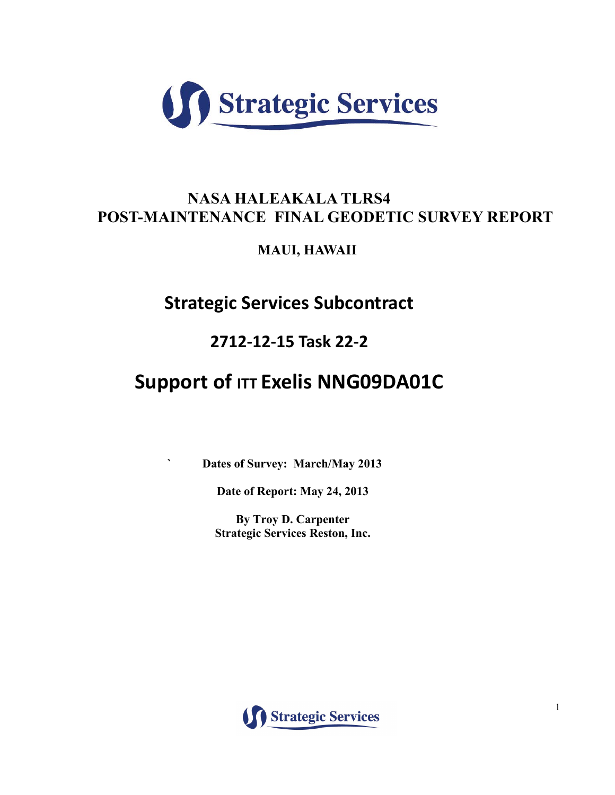

# **NASA HALEAKALA TLRS4 POST-MAINTENANCE FINAL GEODETIC SURVEY REPORT**

**MAUI, HAWAII**

**Strategic Services Subcontract** 

# **2712-12-15 Task 22-2**

# **Support of ITT Exelis NNG09DA01C**

**` Dates of Survey: March/May 2013**

**Date of Report: May 24, 2013**

**By Troy D. Carpenter Strategic Services Reston, Inc.**

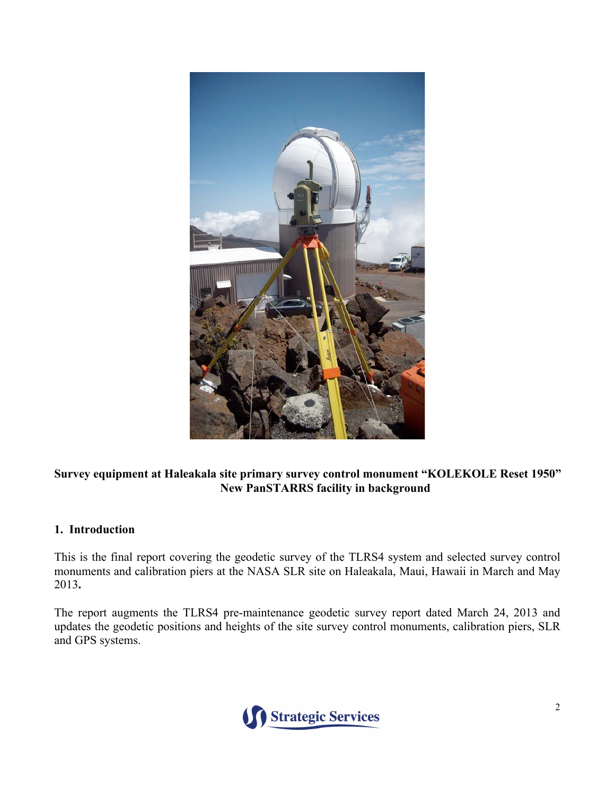

## **Survey equipment at Haleakala site primary survey control monument "KOLEKOLE Reset 1950" New PanSTARRS facility in background**

## **1. Introduction**

This is the final report covering the geodetic survey of the TLRS4 system and selected survey control monuments and calibration piers at the NASA SLR site on Haleakala, Maui, Hawaii in March and May 2013**.**

The report augments the TLRS4 pre-maintenance geodetic survey report dated March 24, 2013 and updates the geodetic positions and heights of the site survey control monuments, calibration piers, SLR and GPS systems.

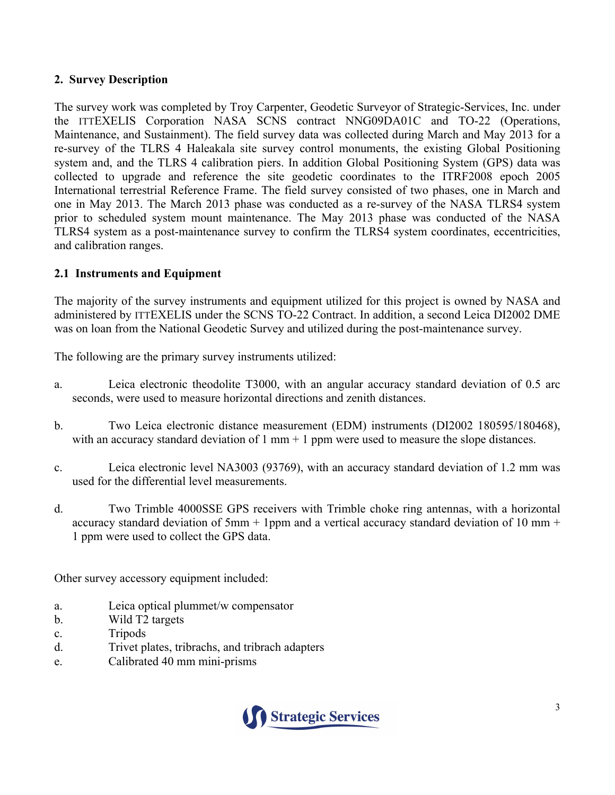## **2. Survey Description**

The survey work was completed by Troy Carpenter, Geodetic Surveyor of Strategic-Services, Inc. under the ITTEXELIS Corporation NASA SCNS contract NNG09DA01C and TO-22 (Operations, Maintenance, and Sustainment). The field survey data was collected during March and May 2013 for a re-survey of the TLRS 4 Haleakala site survey control monuments, the existing Global Positioning system and, and the TLRS 4 calibration piers. In addition Global Positioning System (GPS) data was collected to upgrade and reference the site geodetic coordinates to the ITRF2008 epoch 2005 International terrestrial Reference Frame. The field survey consisted of two phases, one in March and one in May 2013. The March 2013 phase was conducted as a re-survey of the NASA TLRS4 system prior to scheduled system mount maintenance. The May 2013 phase was conducted of the NASA TLRS4 system as a post-maintenance survey to confirm the TLRS4 system coordinates, eccentricities, and calibration ranges.

## **2.1 Instruments and Equipment**

The majority of the survey instruments and equipment utilized for this project is owned by NASA and administered by ITTEXELIS under the SCNS TO-22 Contract. In addition, a second Leica DI2002 DME was on loan from the National Geodetic Survey and utilized during the post-maintenance survey.

The following are the primary survey instruments utilized:

- a. Leica electronic theodolite T3000, with an angular accuracy standard deviation of 0.5 arc seconds, were used to measure horizontal directions and zenith distances.
- b. Two Leica electronic distance measurement (EDM) instruments (DI2002 180595/180468), with an accuracy standard deviation of  $1 \text{ mm} + 1 \text{ ppm}$  were used to measure the slope distances.
- c. Leica electronic level NA3003 (93769), with an accuracy standard deviation of 1.2 mm was used for the differential level measurements.
- d. Two Trimble 4000SSE GPS receivers with Trimble choke ring antennas, with a horizontal accuracy standard deviation of 5mm  $+$  1ppm and a vertical accuracy standard deviation of 10 mm  $+$ 1 ppm were used to collect the GPS data.

Other survey accessory equipment included:

- a. Leica optical plummet/w compensator
- b. Wild T2 targets
- c. Tripods
- d. Trivet plates, tribrachs, and tribrach adapters
- e. Calibrated 40 mm mini-prisms

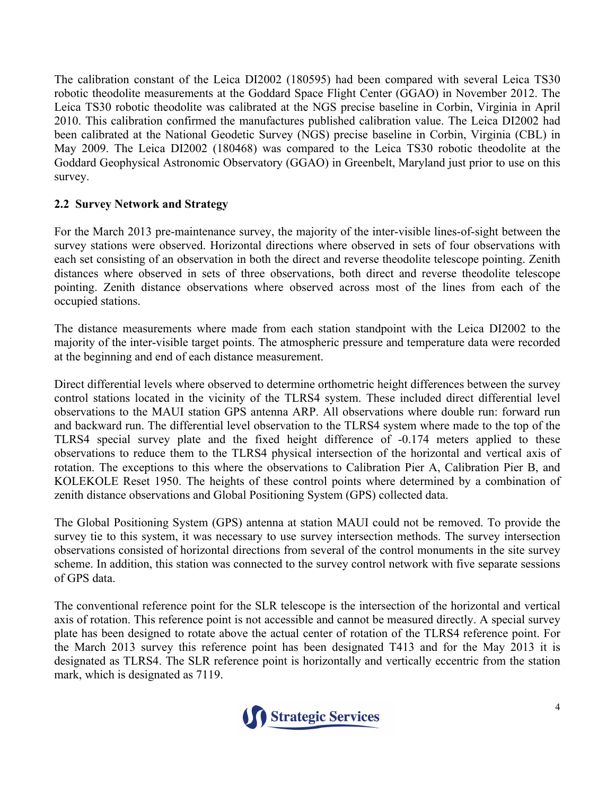The calibration constant of the Leica DI2002 (180595) had been compared with several Leica TS30 robotic theodolite measurements at the Goddard Space Flight Center (GGAO) in November 2012. The Leica TS30 robotic theodolite was calibrated at the NGS precise baseline in Corbin, Virginia in April 2010. This calibration confirmed the manufactures published calibration value. The Leica DI2002 had been calibrated at the National Geodetic Survey (NGS) precise baseline in Corbin, Virginia (CBL) in May 2009. The Leica DI2002 (180468) was compared to the Leica TS30 robotic theodolite at the Goddard Geophysical Astronomic Observatory (GGAO) in Greenbelt, Maryland just prior to use on this survey.

## **2.2 Survey Network and Strategy**

For the March 2013 pre-maintenance survey, the majority of the inter-visible lines-of-sight between the survey stations were observed. Horizontal directions where observed in sets of four observations with each set consisting of an observation in both the direct and reverse theodolite telescope pointing. Zenith distances where observed in sets of three observations, both direct and reverse theodolite telescope pointing. Zenith distance observations where observed across most of the lines from each of the occupied stations.

The distance measurements where made from each station standpoint with the Leica DI2002 to the majority of the inter-visible target points. The atmospheric pressure and temperature data were recorded at the beginning and end of each distance measurement.

Direct differential levels where observed to determine orthometric height differences between the survey control stations located in the vicinity of the TLRS4 system. These included direct differential level observations to the MAUI station GPS antenna ARP. All observations where double run: forward run and backward run. The differential level observation to the TLRS4 system where made to the top of the TLRS4 special survey plate and the fixed height difference of -0.174 meters applied to these observations to reduce them to the TLRS4 physical intersection of the horizontal and vertical axis of rotation. The exceptions to this where the observations to Calibration Pier A, Calibration Pier B, and KOLEKOLE Reset 1950. The heights of these control points where determined by a combination of zenith distance observations and Global Positioning System (GPS) collected data.

The Global Positioning System (GPS) antenna at station MAUI could not be removed. To provide the survey tie to this system, it was necessary to use survey intersection methods. The survey intersection observations consisted of horizontal directions from several of the control monuments in the site survey scheme. In addition, this station was connected to the survey control network with five separate sessions of GPS data.

The conventional reference point for the SLR telescope is the intersection of the horizontal and vertical axis of rotation. This reference point is not accessible and cannot be measured directly. A special survey plate has been designed to rotate above the actual center of rotation of the TLRS4 reference point. For the March 2013 survey this reference point has been designated T413 and for the May 2013 it is designated as TLRS4. The SLR reference point is horizontally and vertically eccentric from the station mark, which is designated as 7119.

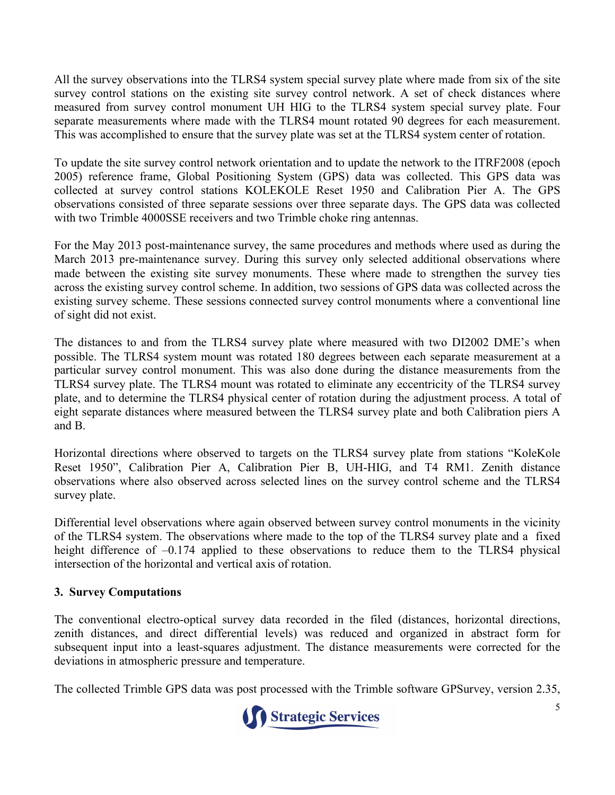All the survey observations into the TLRS4 system special survey plate where made from six of the site survey control stations on the existing site survey control network. A set of check distances where measured from survey control monument UH HIG to the TLRS4 system special survey plate. Four separate measurements where made with the TLRS4 mount rotated 90 degrees for each measurement. This was accomplished to ensure that the survey plate was set at the TLRS4 system center of rotation.

To update the site survey control network orientation and to update the network to the ITRF2008 (epoch 2005) reference frame, Global Positioning System (GPS) data was collected. This GPS data was collected at survey control stations KOLEKOLE Reset 1950 and Calibration Pier A. The GPS observations consisted of three separate sessions over three separate days. The GPS data was collected with two Trimble 4000SSE receivers and two Trimble choke ring antennas.

For the May 2013 post-maintenance survey, the same procedures and methods where used as during the March 2013 pre-maintenance survey. During this survey only selected additional observations where made between the existing site survey monuments. These where made to strengthen the survey ties across the existing survey control scheme. In addition, two sessions of GPS data was collected across the existing survey scheme. These sessions connected survey control monuments where a conventional line of sight did not exist.

The distances to and from the TLRS4 survey plate where measured with two DI2002 DME's when possible. The TLRS4 system mount was rotated 180 degrees between each separate measurement at a particular survey control monument. This was also done during the distance measurements from the TLRS4 survey plate. The TLRS4 mount was rotated to eliminate any eccentricity of the TLRS4 survey plate, and to determine the TLRS4 physical center of rotation during the adjustment process. A total of eight separate distances where measured between the TLRS4 survey plate and both Calibration piers A and B.

Horizontal directions where observed to targets on the TLRS4 survey plate from stations "KoleKole Reset 1950", Calibration Pier A, Calibration Pier B, UH-HIG, and T4 RM1. Zenith distance observations where also observed across selected lines on the survey control scheme and the TLRS4 survey plate.

Differential level observations where again observed between survey control monuments in the vicinity of the TLRS4 system. The observations where made to the top of the TLRS4 survey plate and a fixed height difference of  $-0.174$  applied to these observations to reduce them to the TLRS4 physical intersection of the horizontal and vertical axis of rotation.

## **3. Survey Computations**

The conventional electro-optical survey data recorded in the filed (distances, horizontal directions, zenith distances, and direct differential levels) was reduced and organized in abstract form for subsequent input into a least-squares adjustment. The distance measurements were corrected for the deviations in atmospheric pressure and temperature.

The collected Trimble GPS data was post processed with the Trimble software GPSurvey, version 2.35,

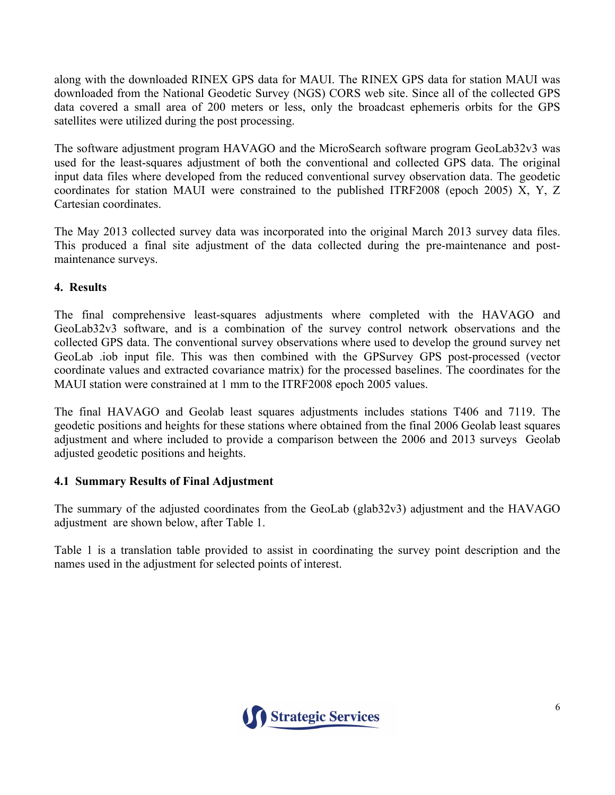along with the downloaded RINEX GPS data for MAUI. The RINEX GPS data for station MAUI was downloaded from the National Geodetic Survey (NGS) CORS web site. Since all of the collected GPS data covered a small area of 200 meters or less, only the broadcast ephemeris orbits for the GPS satellites were utilized during the post processing.

The software adjustment program HAVAGO and the MicroSearch software program GeoLab32v3 was used for the least-squares adjustment of both the conventional and collected GPS data. The original input data files where developed from the reduced conventional survey observation data. The geodetic coordinates for station MAUI were constrained to the published ITRF2008 (epoch 2005) X, Y, Z Cartesian coordinates.

The May 2013 collected survey data was incorporated into the original March 2013 survey data files. This produced a final site adjustment of the data collected during the pre-maintenance and postmaintenance surveys.

## **4. Results**

The final comprehensive least-squares adjustments where completed with the HAVAGO and GeoLab32v3 software, and is a combination of the survey control network observations and the collected GPS data. The conventional survey observations where used to develop the ground survey net GeoLab .iob input file. This was then combined with the GPSurvey GPS post-processed (vector coordinate values and extracted covariance matrix) for the processed baselines. The coordinates for the MAUI station were constrained at 1 mm to the ITRF2008 epoch 2005 values.

The final HAVAGO and Geolab least squares adjustments includes stations T406 and 7119. The geodetic positions and heights for these stations where obtained from the final 2006 Geolab least squares adjustment and where included to provide a comparison between the 2006 and 2013 surveys Geolab adjusted geodetic positions and heights.

## **4.1 Summary Results of Final Adjustment**

The summary of the adjusted coordinates from the GeoLab (glab32v3) adjustment and the HAVAGO adjustment are shown below, after Table 1.

Table 1 is a translation table provided to assist in coordinating the survey point description and the names used in the adjustment for selected points of interest.

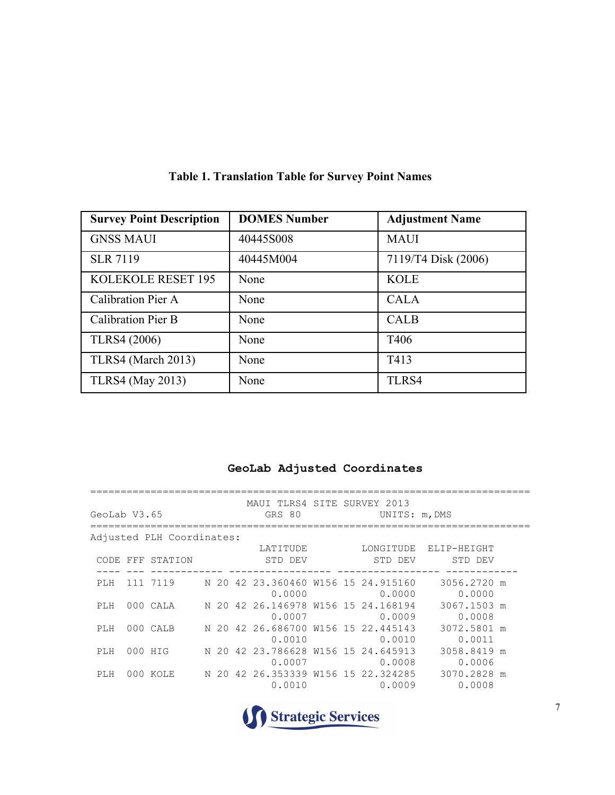| <b>Survey Point Description</b> | <b>DOMES Number</b> | <b>Adjustment Name</b> |
|---------------------------------|---------------------|------------------------|
| <b>GNSS MAUI</b>                | 40445S008           | <b>MAUI</b>            |
| <b>SLR 7119</b>                 | 40445M004           | 7119/T4 Disk (2006)    |
| <b>KOLEKOLE RESET 195</b>       | None                | <b>KOLE</b>            |
| Calibration Pier A              | None                | <b>CALA</b>            |
| <b>Calibration Pier B</b>       | None                | <b>CALB</b>            |
| <b>TLRS4 (2006)</b>             | None                | T <sub>406</sub>       |
| TLRS4 (March 2013)              | None                | T413                   |
| <b>TLRS4</b> (May 2013)         | None                | TLRS4                  |

## **Table 1. Translation Table for Survey Point Names**

## **GeoLab Adjusted Coordinates**

| GeoLab V3.65 |         |                           |  | MAUI TLRS4 SITE SURVEY 2013<br>GRS 80                  |  | UNITS: m, DMS |                                  |  |
|--------------|---------|---------------------------|--|--------------------------------------------------------|--|---------------|----------------------------------|--|
|              |         | Adjusted PLH Coordinates: |  |                                                        |  |               |                                  |  |
|              |         | CODE FFF STATION          |  | LATITUDE<br>STD DEV                                    |  | STD DEV       | LONGITUDE ELIP-HEIGHT<br>STD DEV |  |
| PLH          |         |                           |  | 111 7119 N 20 42 23.360460 W156 15 24.915160<br>0.0000 |  | 0.0000        | 3056.2720 m<br>0.0000            |  |
| PLH          |         |                           |  | 000 CALA N 20 42 26.146978 W156 15 24.168194<br>0.0007 |  | 0.0009        | 3067.1503 m<br>0.0008            |  |
| PLH          |         | 000 CALB                  |  | N 20 42 26.686700 W156 15 22.445143<br>0.0010          |  | 0.0010        | 3072.5801 m<br>0.0011            |  |
| PLH          | 000 HIG |                           |  | N 20 42 23.786628 W156 15 24.645913<br>0.0007          |  | 0.0008        | 3058.8419 m<br>0.0006            |  |
| PLH          |         | 000 KOLE                  |  | N 20 42 26.353339 W156 15 22.324285<br>0.0010          |  | 0.0009        | 3070.2828 m<br>0.0008            |  |

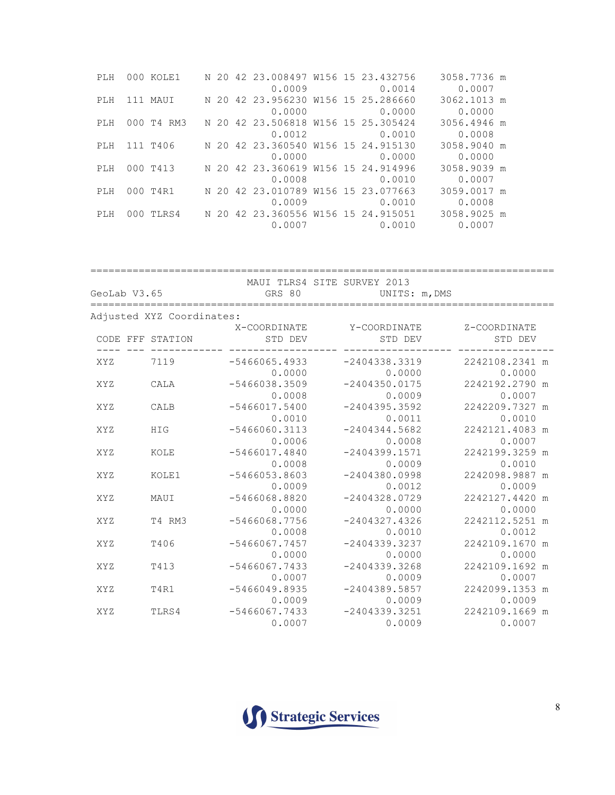| PT.H | 000 KOLE1  |  | N 20 42 23.008497 W156 15 23.432756 |  |                 | 3058.7736 m |  |
|------|------------|--|-------------------------------------|--|-----------------|-------------|--|
|      |            |  | 0.0009                              |  | 0.0014          | 0.0007      |  |
| PLH  | 111 MAUI   |  | N 20 42 23.956230 W156 15 25.286660 |  |                 | 3062.1013 m |  |
|      |            |  | 0.0000                              |  | 0.0000          | 0.0000      |  |
| PLH  | 000 T4 RM3 |  | N 20 42 23.506818 W156 15 25.305424 |  |                 | 3056.4946 m |  |
|      |            |  |                                     |  | $0.0012$ 0.0010 | 0.0008      |  |
| PLH  | 111 T406   |  | N 20 42 23.360540 W156 15 24.915130 |  |                 | 3058.9040 m |  |
|      |            |  |                                     |  | $0.0000$ 0.0000 | 0.0000      |  |
| PLH  | 000 T413   |  | N 20 42 23.360619 W156 15 24.914996 |  |                 | 3058.9039 m |  |
|      |            |  | 0.0008                              |  | 0.0010          | 0.0007      |  |
| PT.H | 000 T4R1   |  | N 20 42 23.010789 W156 15 23.077663 |  |                 | 3059.0017 m |  |
|      |            |  | 0.0009                              |  | 0.0010          | 0.0008      |  |
| PT.H | 000 TLRS4  |  | N 20 42 23.360556 W156 15 24.915051 |  |                 | 3058.9025 m |  |
|      |            |  |                                     |  | $0.0007$ 0.0010 | 0.0007      |  |

| GeoLab V3.65 |                           | GRS 80                    | MAUI TLRS4 SITE SURVEY 2013<br>UNITS: m, DMS |                             |
|--------------|---------------------------|---------------------------|----------------------------------------------|-----------------------------|
|              | Adjusted XYZ Coordinates: |                           |                                              |                             |
|              | CODE FFF STATION          | X-COORDINATE<br>STD DEV   | Y-COORDINATE<br>STD DEV                      | Z-COORDINATE<br>STD DEV     |
| XYZ          | 7119                      | $-5466065.4933$<br>0.0000 | $-2404338.3319$<br>0.0000                    | 2242108.2341 m<br>0.0000    |
| XYZ          | CALA                      | $-5466038.3509$<br>0.0008 | $-2404350.0175$<br>0.0009                    | 2242192.2790 m<br>0.0007    |
| <b>XYZ</b>   | CALB                      | $-5466017.5400$<br>0.0010 | $-2404395.3592$<br>0.0011                    | 2242209.7327 m<br>0.0010    |
| XYZ          | HIG                       | $-5466060.3113$<br>0.0006 | $-2404344.5682$<br>0.0008                    | 2242121.4083 m<br>0.0007    |
| XYZ          | KOLE                      | $-5466017.4840$<br>0.0008 | $-2404399.1571$<br>0.0009                    | 2242199.3259 m<br>0.0010    |
| XYZ          | KOLE1                     | $-5466053.8603$<br>0.0009 | $-2404380.0998$<br>0.0012                    | 2242098.9887 m<br>0.0009    |
| <b>XYZ</b>   | MAUI                      | $-5466068.8820$<br>0.0000 | $-2404328.0729$<br>0.0000                    | 2242127.4420<br>m<br>0.0000 |
| XYZ          | T4 RM3                    | $-5466068.7756$<br>0.0008 | $-2404327.4326$<br>0.0010                    | 2242112.5251 m<br>0.0012    |
| <b>XYZ</b>   | T406                      | $-5466067.7457$<br>0.0000 | $-2404339.3237$<br>0.0000                    | 2242109.1670<br>m<br>0.0000 |
| <b>XYZ</b>   | T413                      | $-5466067.7433$<br>0.0007 | $-2404339.3268$<br>0.0009                    | 2242109.1692 m<br>0.0007    |
| XYZ          | T4R1                      | $-5466049.8935$<br>0.0009 | $-2404389.5857$<br>0.0009                    | 2242099.1353 m<br>0.0009    |
| <b>XYZ</b>   | TLRS4                     | $-5466067.7433$<br>0.0007 | $-2404339.3251$<br>0.0009                    | 2242109.1669 m<br>0.0007    |

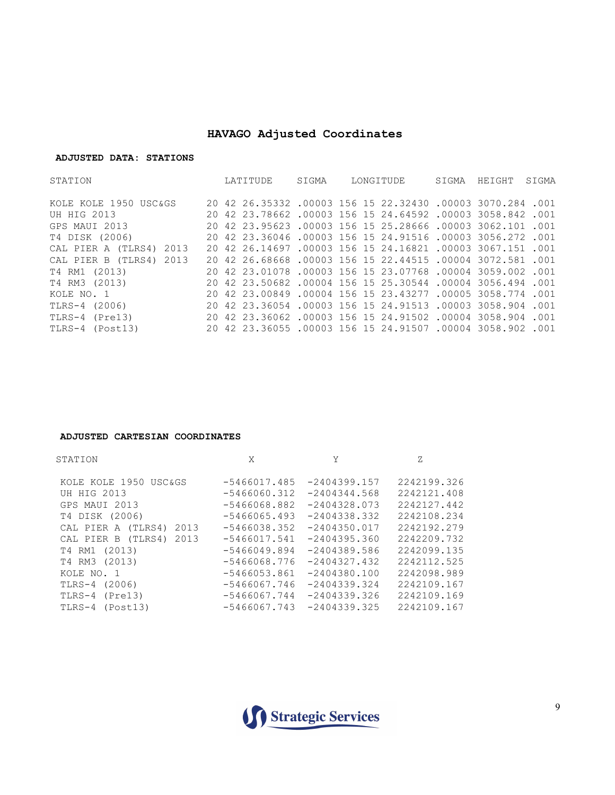## **HAVAGO Adjusted Coordinates**

#### **ADJUSTED DATA: STATIONS**

| STATION                 | LATITUDE                                                   | SIGMA |  | LONGITUDE | SIGMA | HEIGHT | SIGMA |
|-------------------------|------------------------------------------------------------|-------|--|-----------|-------|--------|-------|
| KOLE KOLE 1950 USC&GS   | 20 42 26.35332 .00003 156 15 22.32430 .00003 3070.284 .001 |       |  |           |       |        |       |
| <b>UH HIG 2013</b>      | 20 42 23.78662 .00003 156 15 24.64592 .00003 3058.842 .001 |       |  |           |       |        |       |
| GPS MAUI 2013           | 20 42 23.95623 .00003 156 15 25.28666 .00003 3062.101 .001 |       |  |           |       |        |       |
| T4 DISK (2006)          | 20 42 23.36046 .00003 156 15 24.91516 .00003 3056.272 .001 |       |  |           |       |        |       |
| CAL PIER A (TLRS4) 2013 | 20 42 26.14697 .00003 156 15 24.16821 .00003 3067.151 .001 |       |  |           |       |        |       |
| CAL PIER B (TLRS4) 2013 | 20 42 26.68668 .00003 156 15 22.44515 .00004 3072.581 .001 |       |  |           |       |        |       |
| T4 RM1 (2013)           | 20 42 23.01078 .00003 156 15 23.07768 .00004 3059.002 .001 |       |  |           |       |        |       |
| T4 RM3 (2013)           | 20 42 23.50682 .00004 156 15 25.30544 .00004 3056.494 .001 |       |  |           |       |        |       |
| KOLE NO. 1              | 20 42 23.00849 .00004 156 15 23.43277 .00005 3058.774 .001 |       |  |           |       |        |       |
| TLRS-4 (2006)           | 20 42 23.36054 .00003 156 15 24.91513 .00003 3058.904 .001 |       |  |           |       |        |       |
| TLRS-4 (Pre13)          | 20 42 23.36062 .00003 156 15 24.91502 .00004 3058.904 .001 |       |  |           |       |        |       |
| TLRS-4 (Post13)         | 20 42 23.36055 .00003 156 15 24.91507 .00004 3058.902 .001 |       |  |           |       |        |       |

#### **ADJUSTED CARTESIAN COORDINATES**

| STATION                                                                                    | X                                                                    |                                                                      | Ζ.                                                       |
|--------------------------------------------------------------------------------------------|----------------------------------------------------------------------|----------------------------------------------------------------------|----------------------------------------------------------|
| KOLE KOLE 1950 USC&GS                                                                      | $-5466017.485$                                                       | $-2404399.157$                                                       | 2242199.326                                              |
| <b>UH HIG 2013</b>                                                                         | $-5466060.312$                                                       | $-2404344.568$                                                       | 2242121.408                                              |
| GPS MAUI 2013                                                                              | $-5466068.882$                                                       | $-2404328.073$                                                       | 2242127.442                                              |
| T4 DISK (2006)                                                                             | $-5466065.493$                                                       | $-2404338.332$                                                       | 2242108.234                                              |
| CAL PIER A (TLRS4)<br>2013<br>2013<br>CAL PIER B (TLRS4)<br>T4 RM1 (2013)<br>T4 RM3 (2013) | $-5466038.352$<br>$-5466017.541$<br>$-5466049.894$<br>$-5466068.776$ | $-2404350.017$<br>$-2404395.360$<br>$-2404389.586$<br>$-2404327.432$ | 2242192.279<br>2242209.732<br>2242099.135<br>2242112.525 |
| KOLE NO. 1                                                                                 | $-5466053.861$                                                       | $-2404380.100$                                                       | 2242098.989                                              |
| TLRS-4 (2006)                                                                              | $-5466067.746$                                                       | $-2404339.324$                                                       | 2242109.167                                              |
| TLRS-4 (Pre13)                                                                             | $-5466067.744$                                                       | $-2404339.326$                                                       | 2242109.169                                              |
| TLRS-4 (Post13)                                                                            | $-5466067.743$                                                       | $-2404339.325$                                                       | 2242109.167                                              |

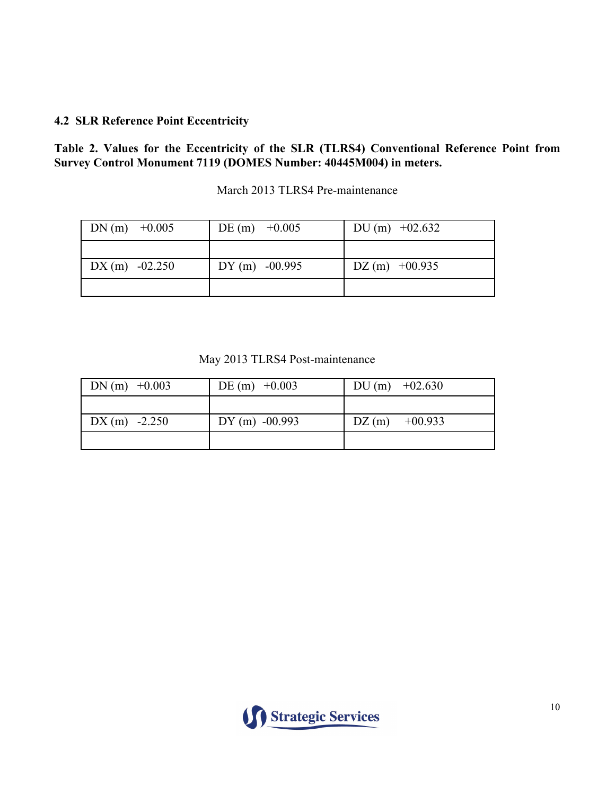## **4.2 SLR Reference Point Eccentricity**

#### **Table 2. Values for the Eccentricity of the SLR (TLRS4) Conventional Reference Point from Survey Control Monument 7119 (DOMES Number: 40445M004) in meters.**

| DN (m) $+0.005$ | DE (m) $+0.005$ | DU (m) $+02.632$ |
|-----------------|-----------------|------------------|
|                 |                 |                  |
| $DX(m) -02.250$ | $DY(m) -00.995$ | $DZ(m)$ +00.935  |
|                 |                 |                  |

March 2013 TLRS4 Pre-maintenance

May 2013 TLRS4 Post-maintenance

| $DN(m)$ +0.003 | DE (m) $+0.003$ | DU (m) $+02.630$ |
|----------------|-----------------|------------------|
|                |                 |                  |
| $DX(m) -2.250$ | $DY(m) -00.993$ | $DZ(m)$ +00.933  |
|                |                 |                  |

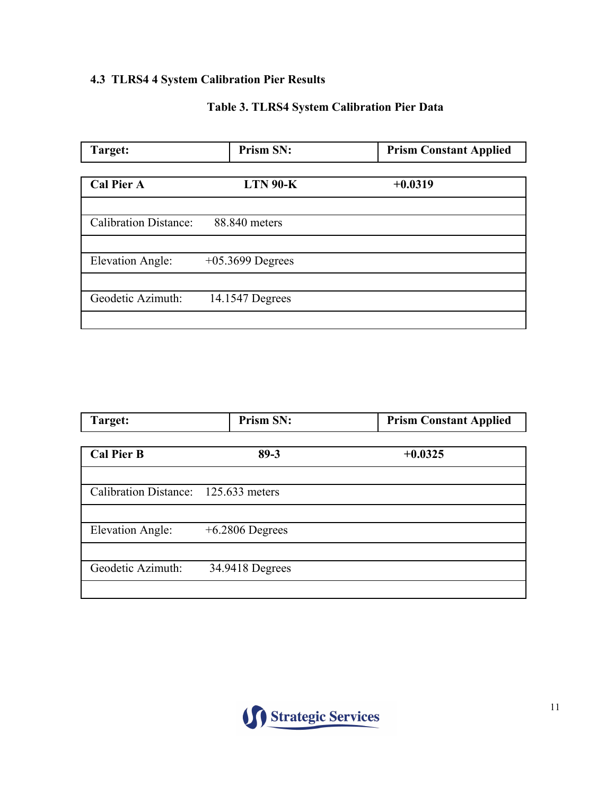## **4.3 TLRS4 4 System Calibration Pier Results**

## **Table 3. TLRS4 System Calibration Pier Data**

| Target:                      | <b>Prism SN:</b>   | <b>Prism Constant Applied</b> |
|------------------------------|--------------------|-------------------------------|
|                              |                    |                               |
| <b>Cal Pier A</b>            | $LTN$ 90- $K$      | $+0.0319$                     |
|                              |                    |                               |
| <b>Calibration Distance:</b> | 88.840 meters      |                               |
|                              |                    |                               |
| <b>Elevation Angle:</b>      | $+05.3699$ Degrees |                               |
|                              |                    |                               |
| Geodetic Azimuth:            | 14.1547 Degrees    |                               |
|                              |                    |                               |

| Target:                              | Prism SN:         | <b>Prism Constant Applied</b> |
|--------------------------------------|-------------------|-------------------------------|
|                                      |                   |                               |
| <b>Cal Pier B</b>                    | $89 - 3$          | $+0.0325$                     |
|                                      |                   |                               |
| Calibration Distance: 125.633 meters |                   |                               |
|                                      |                   |                               |
| <b>Elevation Angle:</b>              | $+6.2806$ Degrees |                               |
|                                      |                   |                               |
| Geodetic Azimuth:                    | 34.9418 Degrees   |                               |
|                                      |                   |                               |